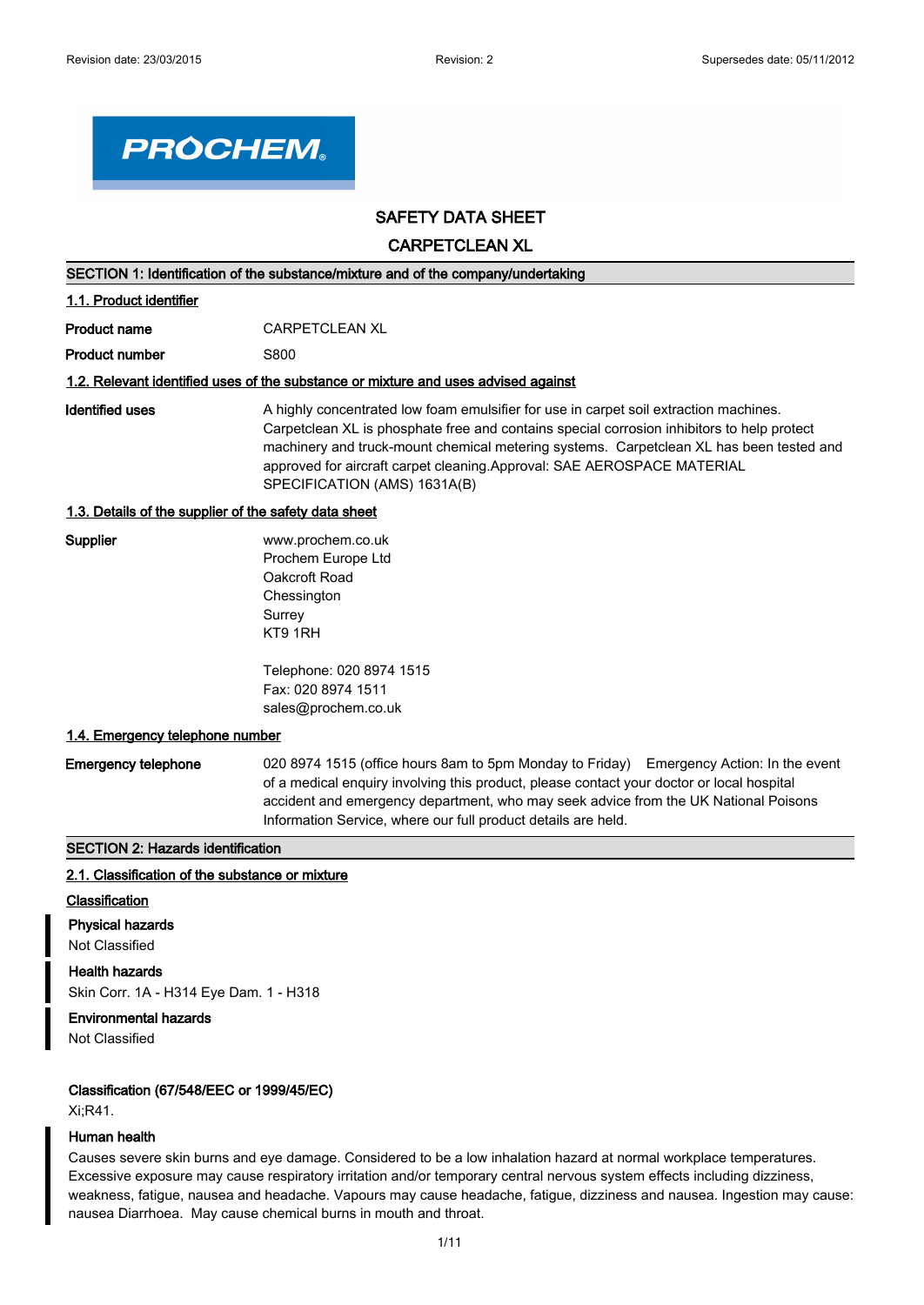

# **SAFETY DATA SHEET**

**CARPETCLEAN XL**

| SECTION 1: Identification of the substance/mixture and of the company/undertaking  |                                                                                                                                                                                                                                                                                                                                                                                           |  |  |
|------------------------------------------------------------------------------------|-------------------------------------------------------------------------------------------------------------------------------------------------------------------------------------------------------------------------------------------------------------------------------------------------------------------------------------------------------------------------------------------|--|--|
| 1.1. Product identifier                                                            |                                                                                                                                                                                                                                                                                                                                                                                           |  |  |
| <b>Product name</b>                                                                | <b>CARPETCLEAN XL</b>                                                                                                                                                                                                                                                                                                                                                                     |  |  |
| <b>Product number</b>                                                              | S800                                                                                                                                                                                                                                                                                                                                                                                      |  |  |
| 1.2. Relevant identified uses of the substance or mixture and uses advised against |                                                                                                                                                                                                                                                                                                                                                                                           |  |  |
| <b>Identified uses</b>                                                             | A highly concentrated low foam emulsifier for use in carpet soil extraction machines.<br>Carpetclean XL is phosphate free and contains special corrosion inhibitors to help protect<br>machinery and truck-mount chemical metering systems. Carpetclean XL has been tested and<br>approved for aircraft carpet cleaning. Approval: SAE AEROSPACE MATERIAL<br>SPECIFICATION (AMS) 1631A(B) |  |  |
| 1.3. Details of the supplier of the safety data sheet                              |                                                                                                                                                                                                                                                                                                                                                                                           |  |  |
| Supplier                                                                           | www.prochem.co.uk<br>Prochem Europe Ltd<br>Oakcroft Road<br>Chessington<br>Surrey<br>KT9 1RH                                                                                                                                                                                                                                                                                              |  |  |
|                                                                                    | Telephone: 020 8974 1515<br>Fax: 020 8974 1511<br>sales@prochem.co.uk                                                                                                                                                                                                                                                                                                                     |  |  |
| 1.4. Emergency telephone number                                                    |                                                                                                                                                                                                                                                                                                                                                                                           |  |  |
| <b>Emergency telephone</b>                                                         | 020 8974 1515 (office hours 8am to 5pm Monday to Friday) Emergency Action: In the event<br>of a medical enquiry involving this product, please contact your doctor or local hospital<br>accident and emergency department, who may seek advice from the UK National Poisons<br>Information Service, where our full product details are held.                                              |  |  |
| <b>SECTION 2: Hazards identification</b>                                           |                                                                                                                                                                                                                                                                                                                                                                                           |  |  |
| 2.1. Classification of the substance or mixture                                    |                                                                                                                                                                                                                                                                                                                                                                                           |  |  |

### **Classification**

**Physical hazards** Not Classified

**Health hazards** Skin Corr. 1A - H314 Eye Dam. 1 - H318

#### **Environmental hazards**

Not Classified

### **Classification (67/548/EEC or 1999/45/EC)**

Xi;R41.

#### **Human health**

Causes severe skin burns and eye damage. Considered to be a low inhalation hazard at normal workplace temperatures. Excessive exposure may cause respiratory irritation and/or temporary central nervous system effects including dizziness, weakness, fatigue, nausea and headache. Vapours may cause headache, fatigue, dizziness and nausea. Ingestion may cause: nausea Diarrhoea. May cause chemical burns in mouth and throat.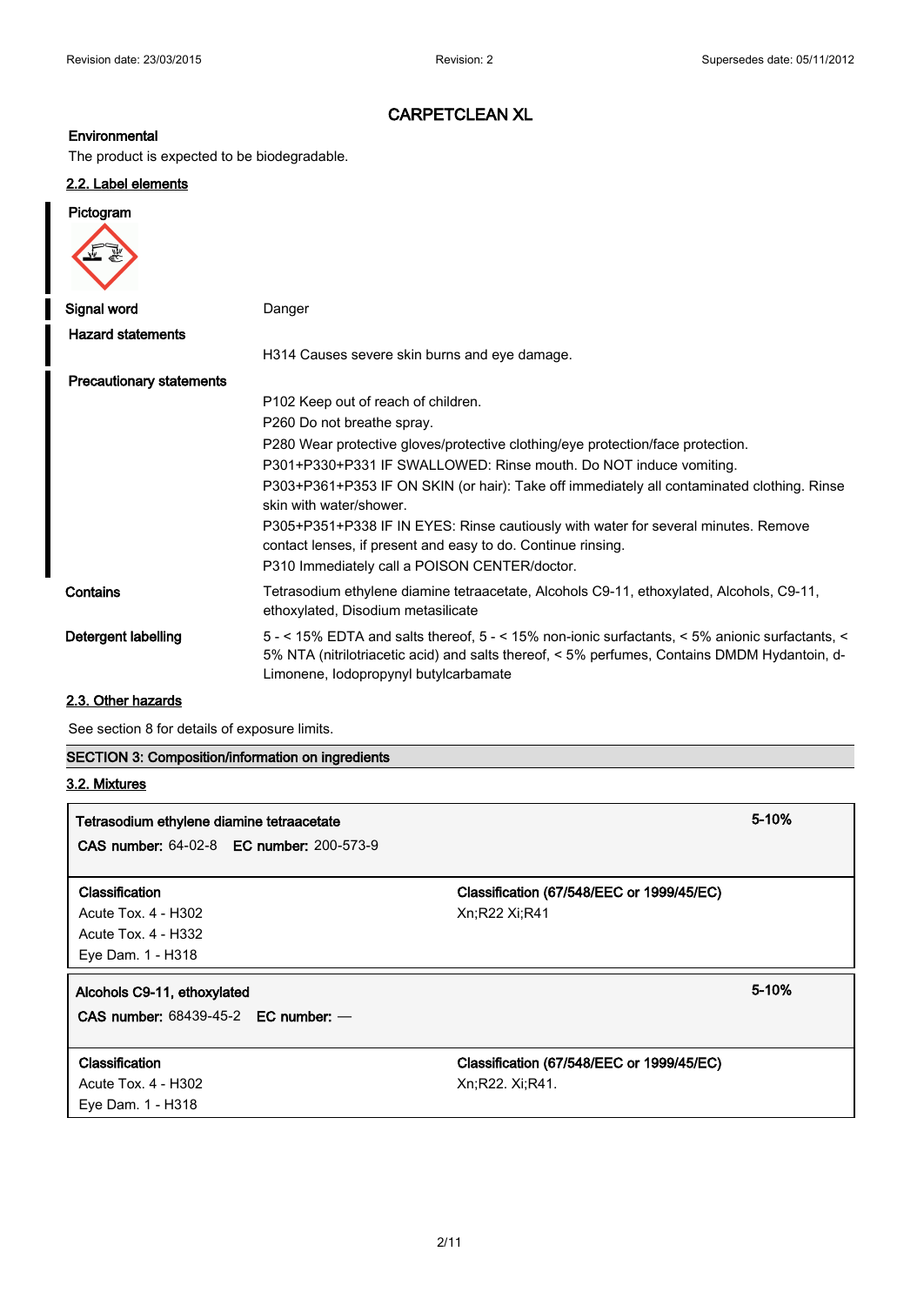# **Environmental**

The product is expected to be biodegradable.

# **2.2. Label elements**

# **Pictogram**

| Signal word                     | Danger                                                                                                                                                                                                                                  |
|---------------------------------|-----------------------------------------------------------------------------------------------------------------------------------------------------------------------------------------------------------------------------------------|
| <b>Hazard statements</b>        |                                                                                                                                                                                                                                         |
|                                 | H314 Causes severe skin burns and eye damage.                                                                                                                                                                                           |
| <b>Precautionary statements</b> |                                                                                                                                                                                                                                         |
|                                 | P <sub>102</sub> Keep out of reach of children.                                                                                                                                                                                         |
|                                 | P260 Do not breathe spray.                                                                                                                                                                                                              |
|                                 | P280 Wear protective gloves/protective clothing/eye protection/face protection.                                                                                                                                                         |
|                                 | P301+P330+P331 IF SWALLOWED: Rinse mouth. Do NOT induce vomiting.                                                                                                                                                                       |
|                                 | P303+P361+P353 IF ON SKIN (or hair): Take off immediately all contaminated clothing. Rinse<br>skin with water/shower.                                                                                                                   |
|                                 | P305+P351+P338 IF IN EYES: Rinse cautiously with water for several minutes. Remove<br>contact lenses, if present and easy to do. Continue rinsing.                                                                                      |
|                                 | P310 Immediately call a POISON CENTER/doctor.                                                                                                                                                                                           |
| Contains                        | Tetrasodium ethylene diamine tetraacetate, Alcohols C9-11, ethoxylated, Alcohols, C9-11,<br>ethoxylated, Disodium metasilicate                                                                                                          |
| Detergent labelling             | 5 - < 15% EDTA and salts thereof, 5 - < 15% non-ionic surfactants, < 5% anionic surfactants, <<br>5% NTA (nitrilotriacetic acid) and salts thereof, < 5% perfumes, Contains DMDM Hydantoin, d-<br>Limonene, lodopropynyl butylcarbamate |

# **2.3. Other hazards**

See section 8 for details of exposure limits.

**SECTION 3: Composition/information on ingredients**

# **3.2. Mixtures**

| Tetrasodium ethylene diamine tetraacetate<br><b>CAS number: 64-02-8 EC number: 200-573-9</b> |                                                              | 5-10%     |
|----------------------------------------------------------------------------------------------|--------------------------------------------------------------|-----------|
| Classification<br>Acute Tox. 4 - H302<br>Acute Tox. 4 - H332<br>Eye Dam. 1 - H318            | Classification (67/548/EEC or 1999/45/EC)<br>Xn:R22 Xi:R41   |           |
| Alcohols C9-11, ethoxylated<br>CAS number: $68439-45-2$ EC number: $-$                       |                                                              | $5 - 10%$ |
| <b>Classification</b><br>Acute Tox. 4 - H302<br>Eye Dam. 1 - H318                            | Classification (67/548/EEC or 1999/45/EC)<br>Xn;R22. Xi;R41. |           |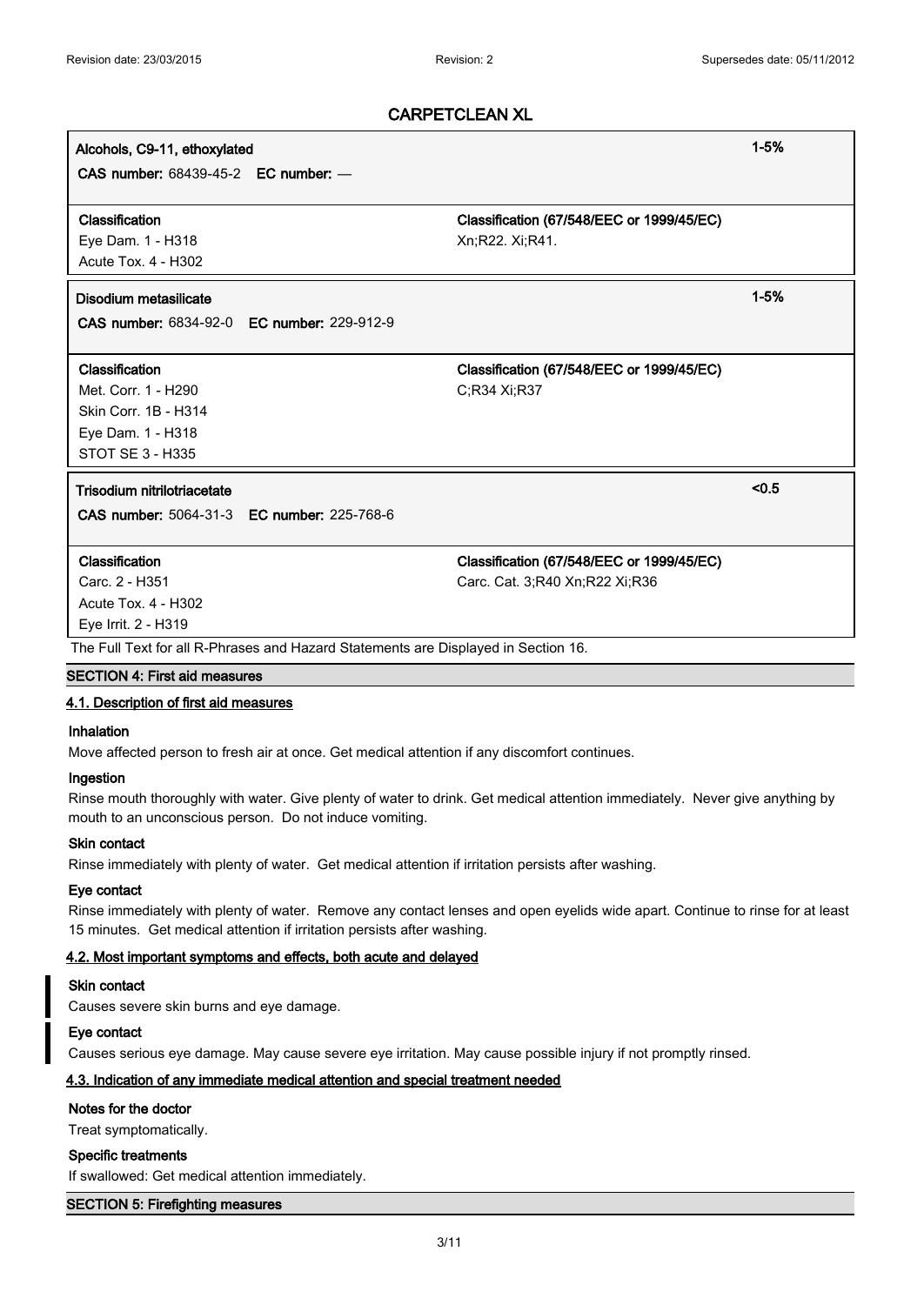# **Alcohols, C9-11, ethoxylated 1-5%**

**CAS number:** 68439-45-2 **EC number:** —

#### **Classification Classification (67/548/EEC or 1999/45/EC)**

Eye Dam. 1 - H318 Xn;R22. Xi;R41. Acute Tox. 4 - H302

# **Disodium metasilicate 1-5%**

**CAS number:** 6834-92-0 **EC number:** 229-912-9

#### **Classification Classification (67/548/EEC or 1999/45/EC)**

Met. Corr. 1 - H290 C;R34 Xi;R37 Skin Corr. 1B - H314 Eye Dam. 1 - H318 STOT SE 3 - H335

# **Trisodium nitrilotriacetate <0.5**

**CAS number:** 5064-31-3 **EC number:** 225-768-6

Acute Tox. 4 - H302 Eye Irrit. 2 - H319

**Classification Classification (67/548/EEC or 1999/45/EC)**

Carc. 2 - H351 Carc. Cat. 3;R40 Xn;R22 Xi;R36

# The Full Text for all R-Phrases and Hazard Statements are Displayed in Section 16.

# **SECTION 4: First aid measures**

### **4.1. Description of first aid measures**

# **Inhalation**

Move affected person to fresh air at once. Get medical attention if any discomfort continues.

#### **Ingestion**

Rinse mouth thoroughly with water. Give plenty of water to drink. Get medical attention immediately. Never give anything by mouth to an unconscious person. Do not induce vomiting.

#### **Skin contact**

Rinse immediately with plenty of water. Get medical attention if irritation persists after washing.

#### **Eye contact**

Rinse immediately with plenty of water. Remove any contact lenses and open eyelids wide apart. Continue to rinse for at least 15 minutes. Get medical attention if irritation persists after washing.

#### **4.2. Most important symptoms and effects, both acute and delayed**

### **Skin contact**

Causes severe skin burns and eye damage.

#### **Eye contact**

Causes serious eye damage. May cause severe eye irritation. May cause possible injury if not promptly rinsed.

# **4.3. Indication of any immediate medical attention and special treatment needed**

#### **Notes for the doctor**

Treat symptomatically.

#### **Specific treatments**

If swallowed: Get medical attention immediately.

#### **SECTION 5: Firefighting measures**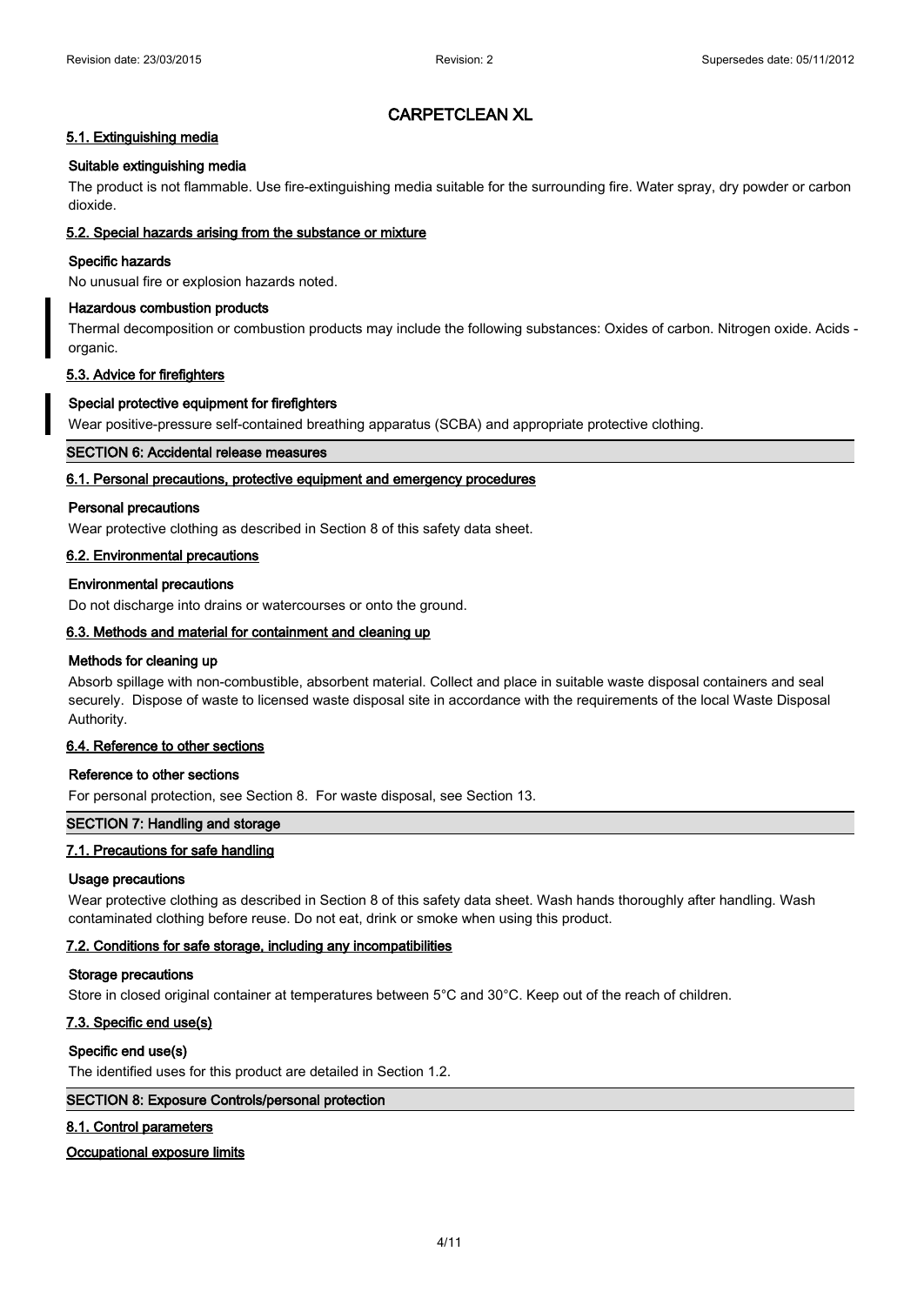# **5.1. Extinguishing media**

# **Suitable extinguishing media**

The product is not flammable. Use fire-extinguishing media suitable for the surrounding fire. Water spray, dry powder or carbon dioxide.

# **5.2. Special hazards arising from the substance or mixture**

# **Specific hazards**

No unusual fire or explosion hazards noted.

# **Hazardous combustion products**

Thermal decomposition or combustion products may include the following substances: Oxides of carbon. Nitrogen oxide. Acids organic.

# **5.3. Advice for firefighters**

# **Special protective equipment for firefighters**

Wear positive-pressure self-contained breathing apparatus (SCBA) and appropriate protective clothing.

# **SECTION 6: Accidental release measures**

# **6.1. Personal precautions, protective equipment and emergency procedures**

# **Personal precautions**

Wear protective clothing as described in Section 8 of this safety data sheet.

# **6.2. Environmental precautions**

# **Environmental precautions**

Do not discharge into drains or watercourses or onto the ground.

# **6.3. Methods and material for containment and cleaning up**

# **Methods for cleaning up**

Absorb spillage with non-combustible, absorbent material. Collect and place in suitable waste disposal containers and seal securely. Dispose of waste to licensed waste disposal site in accordance with the requirements of the local Waste Disposal Authority.

# **6.4. Reference to other sections**

# **Reference to other sections**

For personal protection, see Section 8. For waste disposal, see Section 13.

# **SECTION 7: Handling and storage**

# **7.1. Precautions for safe handling**

# **Usage precautions**

Wear protective clothing as described in Section 8 of this safety data sheet. Wash hands thoroughly after handling. Wash contaminated clothing before reuse. Do not eat, drink or smoke when using this product.

# **7.2. Conditions for safe storage, including any incompatibilities**

# **Storage precautions**

Store in closed original container at temperatures between 5°C and 30°C. Keep out of the reach of children.

# **7.3. Specific end use(s)**

# **Specific end use(s)**

The identified uses for this product are detailed in Section 1.2.

# **SECTION 8: Exposure Controls/personal protection**

# **8.1. Control parameters**

# **Occupational exposure limits**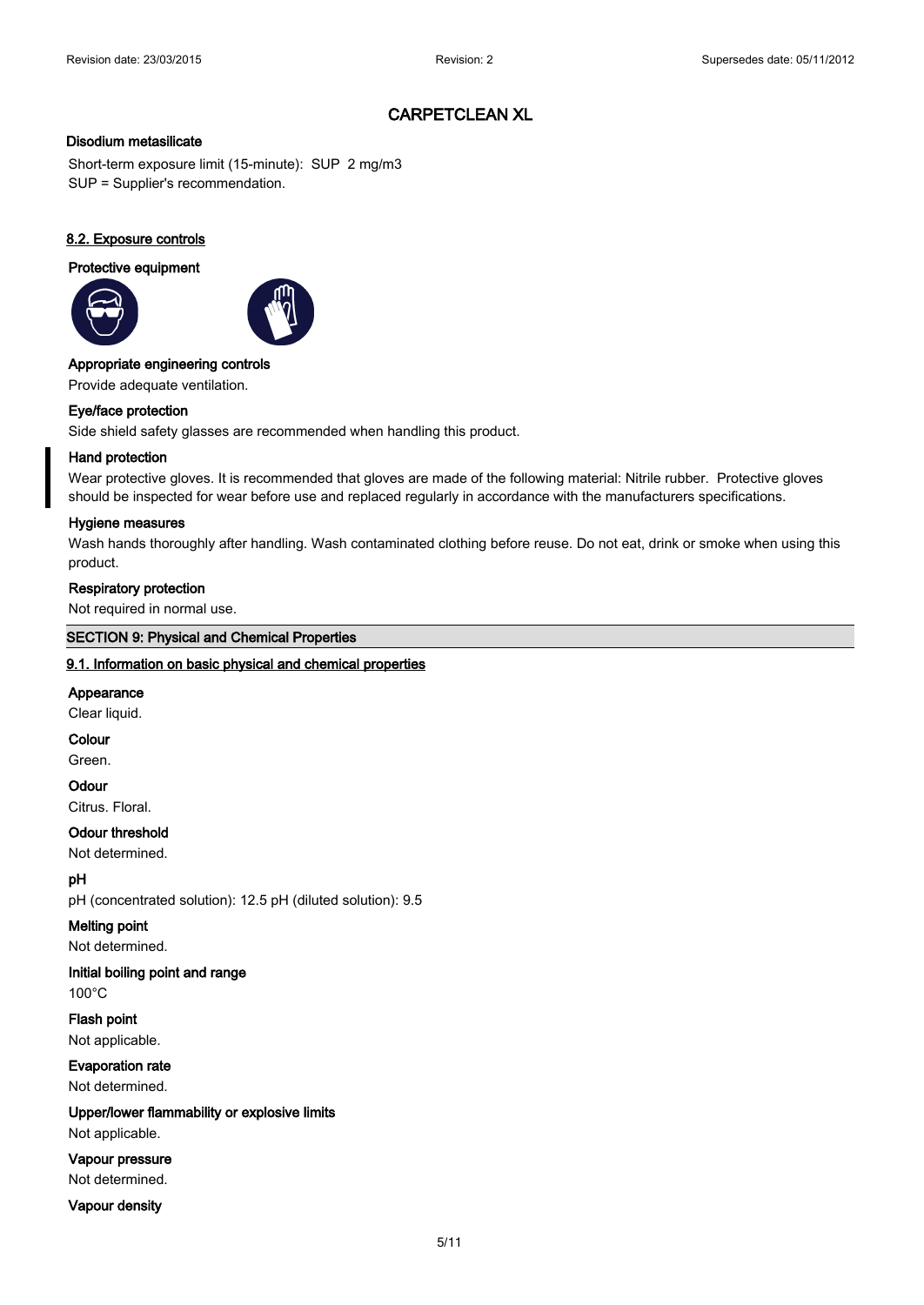### **Disodium metasilicate**

Short-term exposure limit (15-minute): SUP 2 mg/m3 SUP = Supplier's recommendation.

# **8.2. Exposure controls**

#### **Protective equipment**





#### **Appropriate engineering controls**

Provide adequate ventilation.

# **Eye/face protection**

Side shield safety glasses are recommended when handling this product.

#### **Hand protection**

Wear protective gloves. It is recommended that gloves are made of the following material: Nitrile rubber. Protective gloves should be inspected for wear before use and replaced regularly in accordance with the manufacturers specifications.

#### **Hygiene measures**

Wash hands thoroughly after handling. Wash contaminated clothing before reuse. Do not eat, drink or smoke when using this product.

# **Respiratory protection**

Not required in normal use.

# **SECTION 9: Physical and Chemical Properties**

#### **9.1. Information on basic physical and chemical properties**

#### **Appearance**

Clear liquid.

#### **Colour**

Green.

### **Odour**

Citrus. Floral.

# **Odour threshold**

Not determined.

# **pH**

pH (concentrated solution): 12.5 pH (diluted solution): 9.5

# **Melting point**

Not determined.

# **Initial boiling point and range**

100°C

**Flash point** Not applicable.

# **Evaporation rate** Not determined.

# **Upper/lower flammability or explosive limits**

Not applicable.

# **Vapour pressure**

Not determined.

# **Vapour density**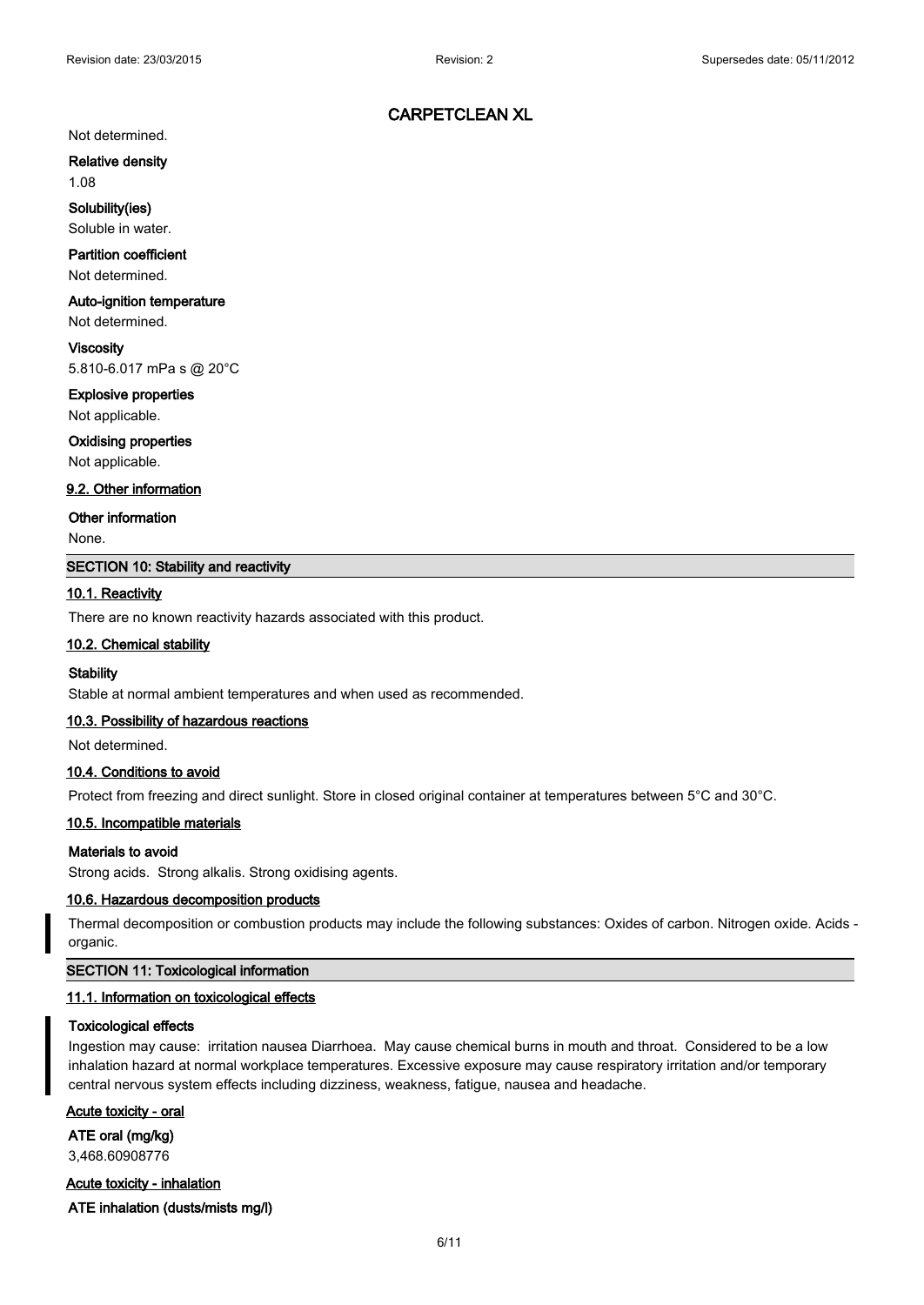#### Not determined.

**Relative density**

1.08

**Solubility(ies)** Soluble in water.

# **Partition coefficient**

Not determined.

### **Auto-ignition temperature**

Not determined.

**Viscosity** 5.810-6.017 mPa s @ 20°C

**Explosive properties**

Not applicable.

#### **Oxidising properties**

Not applicable.

#### **9.2. Other information**

#### **Other information**

None.

# **SECTION 10: Stability and reactivity**

# **10.1. Reactivity**

There are no known reactivity hazards associated with this product.

#### **10.2. Chemical stability**

#### **Stability**

Stable at normal ambient temperatures and when used as recommended.

#### **10.3. Possibility of hazardous reactions**

Not determined.

### **10.4. Conditions to avoid**

Protect from freezing and direct sunlight. Store in closed original container at temperatures between 5°C and 30°C.

#### **10.5. Incompatible materials**

# **Materials to avoid**

Strong acids. Strong alkalis. Strong oxidising agents.

#### **10.6. Hazardous decomposition products**

Thermal decomposition or combustion products may include the following substances: Oxides of carbon. Nitrogen oxide. Acids organic.

#### **SECTION 11: Toxicological information**

#### **11.1. Information on toxicological effects**

#### **Toxicological effects**

Ingestion may cause: irritation nausea Diarrhoea. May cause chemical burns in mouth and throat. Considered to be a low inhalation hazard at normal workplace temperatures. Excessive exposure may cause respiratory irritation and/or temporary central nervous system effects including dizziness, weakness, fatigue, nausea and headache.

**Acute toxicity - oral**

**ATE oral (mg/kg)** 3,468.60908776

**Acute toxicity - inhalation**

**ATE inhalation (dusts/mists mg/l)**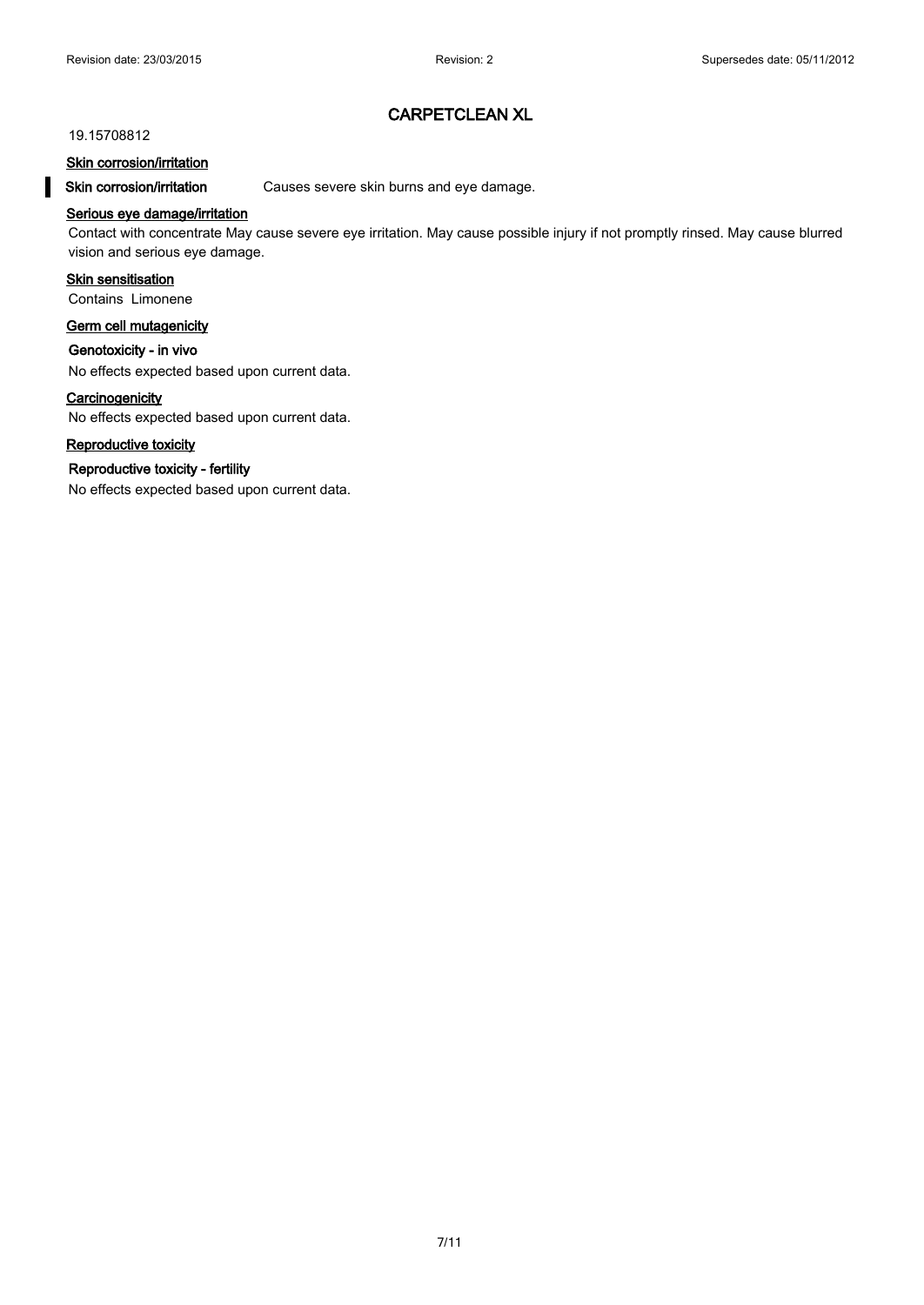#### 19.15708812

#### **Skin corrosion/irritation**

**Skin corrosion/irritation** Causes severe skin burns and eye damage.

# **Serious eye damage/irritation**

Contact with concentrate May cause severe eye irritation. May cause possible injury if not promptly rinsed. May cause blurred vision and serious eye damage.

### **Skin sensitisation**

Contains Limonene

### **Germ cell mutagenicity**

**Genotoxicity - in vivo**

No effects expected based upon current data.

#### **Carcinogenicity**

No effects expected based upon current data.

# **Reproductive toxicity**

#### **Reproductive toxicity - fertility**

No effects expected based upon current data.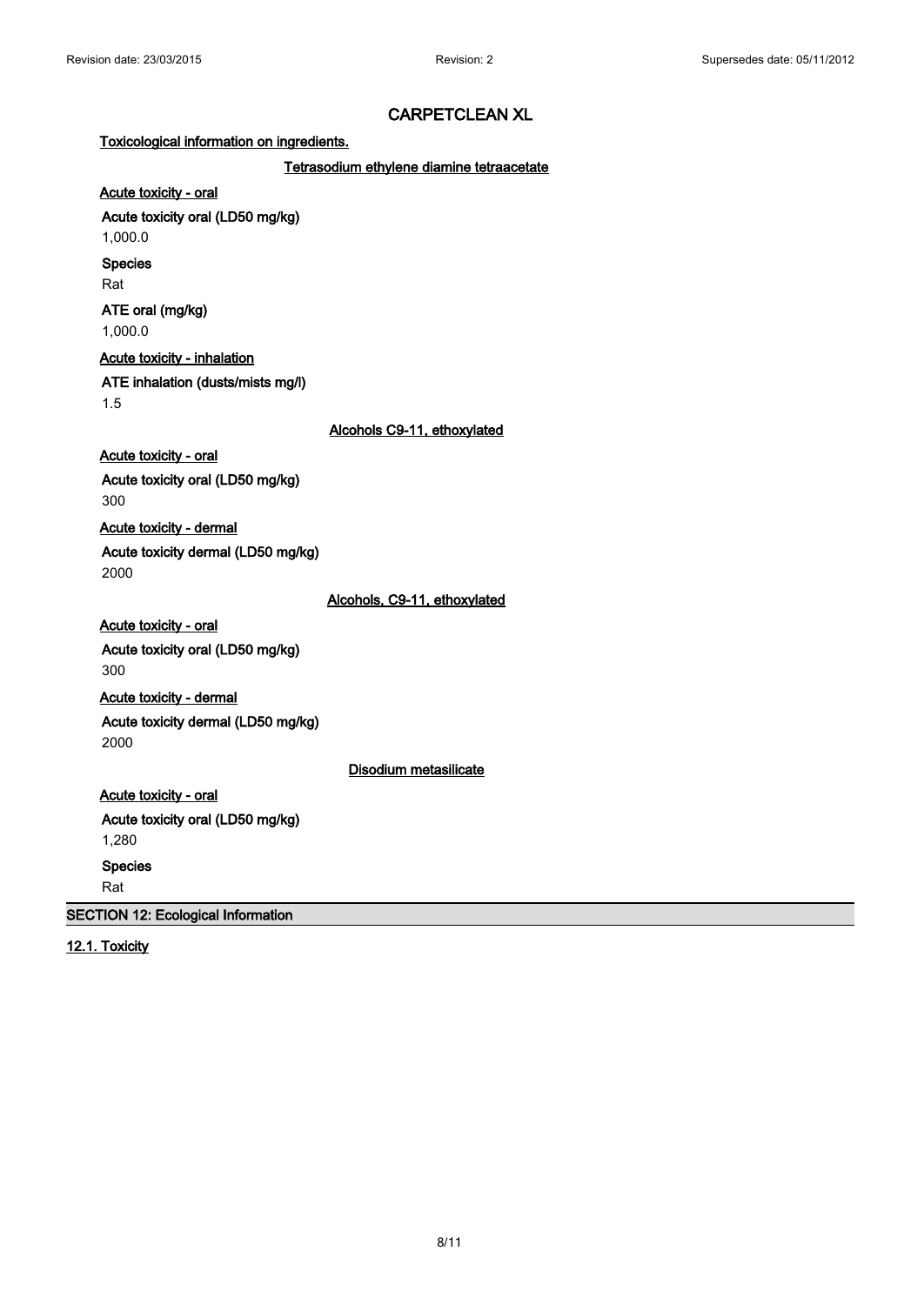**Toxicological information on ingredients.**

**Tetrasodium ethylene diamine tetraacetate**

**Acute toxicity - oral Acute toxicity oral (LD50 mg/kg)**

1,000.0

**Species**

Rat

**ATE oral (mg/kg)** 1,000.0

**Acute toxicity - inhalation**

**ATE inhalation (dusts/mists mg/l)**

1.5

**Alcohols C9-11, ethoxylated**

**Acute toxicity - oral**

**Acute toxicity oral (LD50 mg/kg)** 300

**Acute toxicity - dermal**

**Acute toxicity dermal (LD50 mg/kg)** 2000

**Alcohols, C9-11, ethoxylated**

**Acute toxicity - oral Acute toxicity oral (LD50 mg/kg)** 300 **Acute toxicity - dermal**

**Acute toxicity dermal (LD50 mg/kg)** 2000

**Disodium metasilicate**

**Acute toxicity - oral Acute toxicity oral (LD50 mg/kg)** 1,280 **Species**

Rat

**SECTION 12: Ecological Information**

**12.1. Toxicity**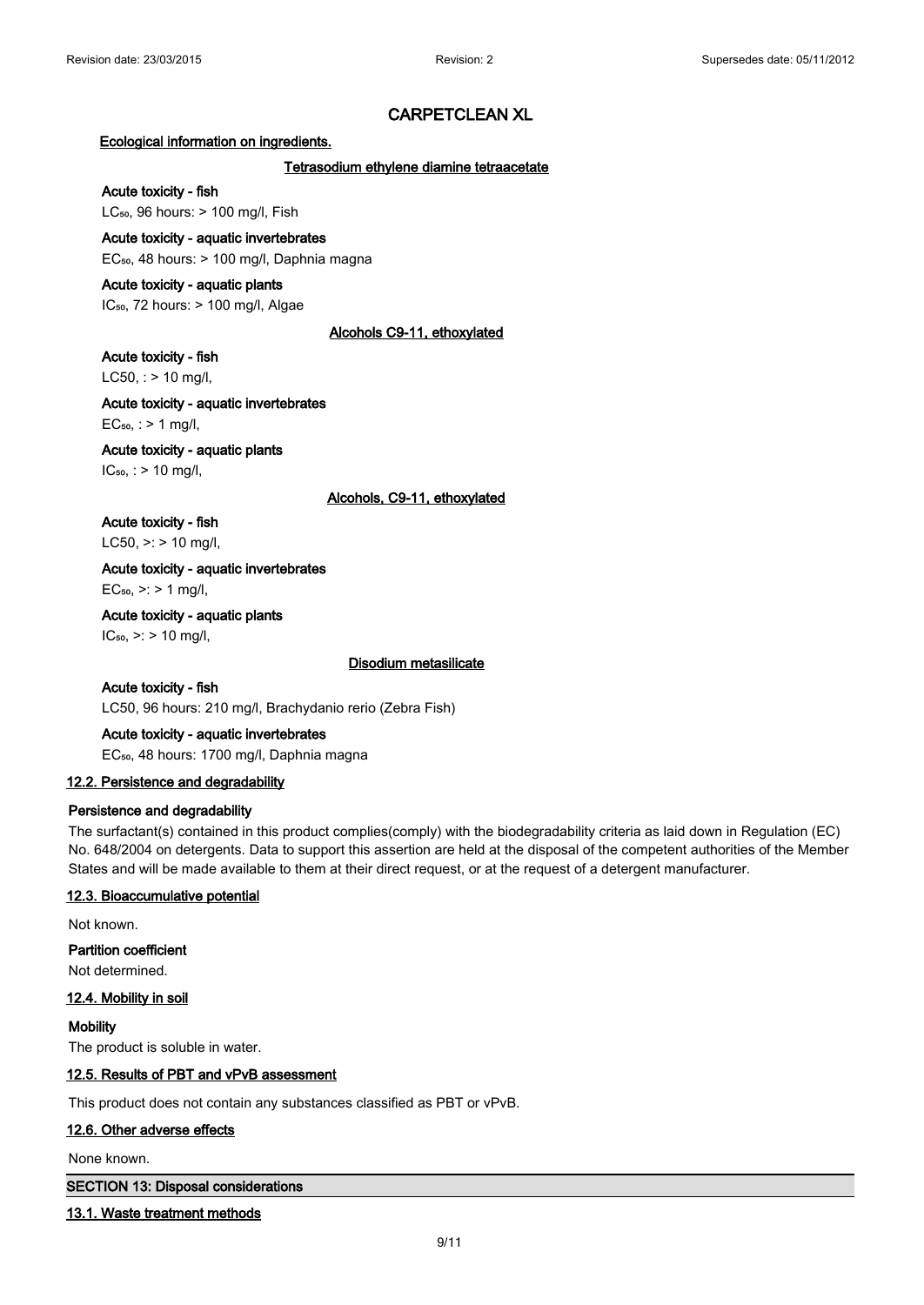#### **Ecological information on ingredients.**

#### **Tetrasodium ethylene diamine tetraacetate**

# **Acute toxicity - fish**

LC $_{50}$ , 96 hours:  $> 100$  mg/l, Fish

#### **Acute toxicity - aquatic invertebrates**

EC₅₀, 48 hours: > 100 mg/l, Daphnia magna

#### **Acute toxicity - aquatic plants**

IC<sub>50</sub>, 72 hours: > 100 mg/l, Algae

# **Alcohols C9-11, ethoxylated**

### **Acute toxicity - fish**

 $LC50$ , : > 10 mg/l,

# **Acute toxicity - aquatic invertebrates**  $EC_{50}$ , : > 1 mg/l,

# **Acute toxicity - aquatic plants**

 $IC_{50}$ , : > 10 mg/l,

#### **Alcohols, C9-11, ethoxylated**

**Acute toxicity - fish** LC50,  $>$ : > 10 mg/l,

# **Acute toxicity - aquatic invertebrates**

 $EC_{50}$ , >: > 1 mg/l,

# **Acute toxicity - aquatic plants**  $IC_{50}$ , >: > 10 mg/l,

#### **Disodium metasilicate**

**Acute toxicity - fish** LC50, 96 hours: 210 mg/l, Brachydanio rerio (Zebra Fish)

# **Acute toxicity - aquatic invertebrates**

EC<sub>50</sub>, 48 hours: 1700 mg/l, Daphnia magna

# **12.2. Persistence and degradability**

# **Persistence and degradability**

The surfactant(s) contained in this product complies(comply) with the biodegradability criteria as laid down in Regulation (EC) No. 648/2004 on detergents. Data to support this assertion are held at the disposal of the competent authorities of the Member States and will be made available to them at their direct request, or at the request of a detergent manufacturer.

# **12.3. Bioaccumulative potential**

Not known.

**Partition coefficient** Not determined.

# **12.4. Mobility in soil**

**Mobility** The product is soluble in water.

# **12.5. Results of PBT and vPvB assessment**

This product does not contain any substances classified as PBT or vPvB.

# **12.6. Other adverse effects**

None known.

#### **SECTION 13: Disposal considerations**

#### **13.1. Waste treatment methods**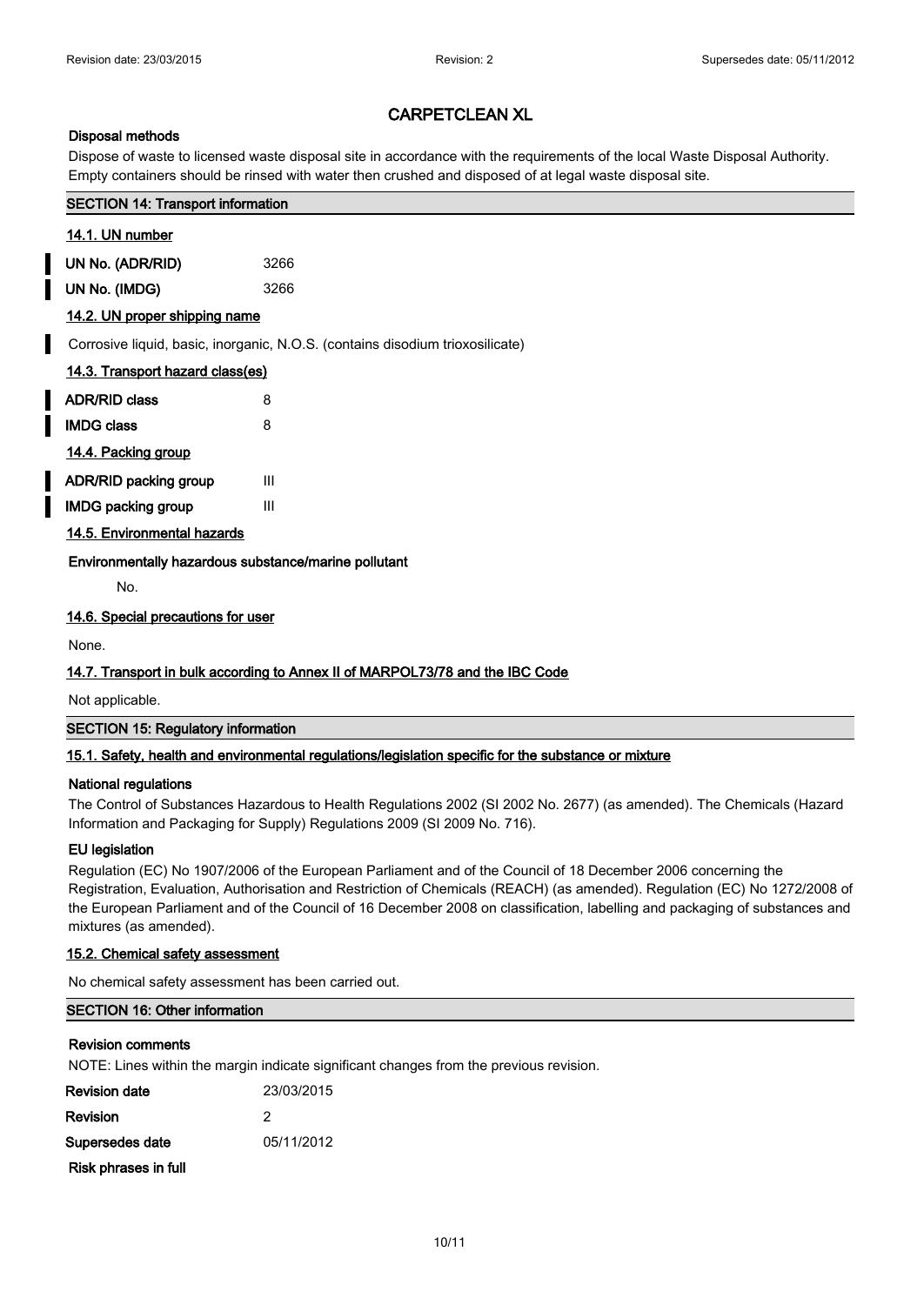# **Disposal methods**

Dispose of waste to licensed waste disposal site in accordance with the requirements of the local Waste Disposal Authority. Empty containers should be rinsed with water then crushed and disposed of at legal waste disposal site.

# **SECTION 14: Transport information**

# **14.1. UN number**

**UN No. (ADR/RID)** 3266

**UN No. (IMDG)** 3266

# **14.2. UN proper shipping name**

Corrosive liquid, basic, inorganic, N.O.S. (contains disodium trioxosilicate)

| 14.3. Transport hazard class(es) |   |  |  |
|----------------------------------|---|--|--|
| <b>ADR/RID class</b>             | 8 |  |  |
| <b>IMDG class</b>                | 8 |  |  |
| 14.4. Packing group              |   |  |  |
| ADR/RID packing group            | ш |  |  |

**IMDG packing group III** 

# **14.5. Environmental hazards**

**Environmentally hazardous substance/marine pollutant**

No.

# **14.6. Special precautions for user**

None.

# **14.7. Transport in bulk according to Annex II of MARPOL73/78 and the IBC Code**

Not applicable.

# **SECTION 15: Regulatory information**

# **15.1. Safety, health and environmental regulations/legislation specific for the substance or mixture**

# **National regulations**

The Control of Substances Hazardous to Health Regulations 2002 (SI 2002 No. 2677) (as amended). The Chemicals (Hazard Information and Packaging for Supply) Regulations 2009 (SI 2009 No. 716).

# **EU legislation**

Regulation (EC) No 1907/2006 of the European Parliament and of the Council of 18 December 2006 concerning the Registration, Evaluation, Authorisation and Restriction of Chemicals (REACH) (as amended). Regulation (EC) No 1272/2008 of the European Parliament and of the Council of 16 December 2008 on classification, labelling and packaging of substances and mixtures (as amended).

# **15.2. Chemical safety assessment**

No chemical safety assessment has been carried out.

# **SECTION 16: Other information**

# **Revision comments**

NOTE: Lines within the margin indicate significant changes from the previous revision.

| Revision date        | 23/03/2015 |
|----------------------|------------|
| Revision             | 2          |
| Supersedes date      | 05/11/2012 |
| Risk phrases in full |            |